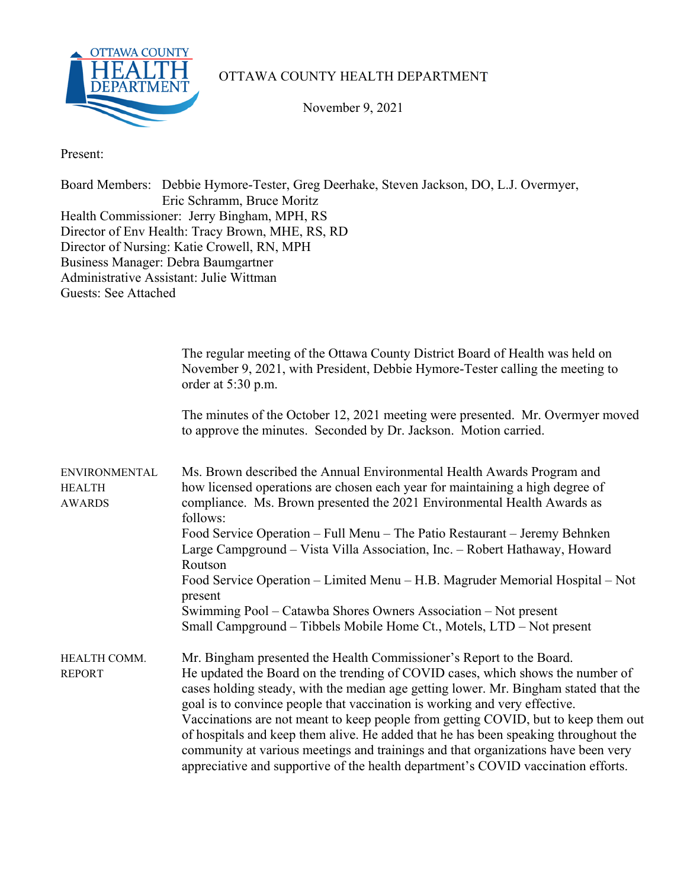

## OTTAWA COUNTY HEALTH DEPARTMENT

November 9, 2021

Present:

Board Members: Debbie Hymore-Tester, Greg Deerhake, Steven Jackson, DO, L.J. Overmyer, Eric Schramm, Bruce Moritz Health Commissioner: Jerry Bingham, MPH, RS Director of Env Health: Tracy Brown, MHE, RS, RD Director of Nursing: Katie Crowell, RN, MPH Business Manager: Debra Baumgartner Administrative Assistant: Julie Wittman Guests: See Attached

|                                                        | The regular meeting of the Ottawa County District Board of Health was held on<br>November 9, 2021, with President, Debbie Hymore-Tester calling the meeting to<br>order at 5:30 p.m.                                                                                                                                                                                                                                                                                                                                                                                                                                                                                                |
|--------------------------------------------------------|-------------------------------------------------------------------------------------------------------------------------------------------------------------------------------------------------------------------------------------------------------------------------------------------------------------------------------------------------------------------------------------------------------------------------------------------------------------------------------------------------------------------------------------------------------------------------------------------------------------------------------------------------------------------------------------|
|                                                        | The minutes of the October 12, 2021 meeting were presented. Mr. Overmyer moved<br>to approve the minutes. Seconded by Dr. Jackson. Motion carried.                                                                                                                                                                                                                                                                                                                                                                                                                                                                                                                                  |
| <b>ENVIRONMENTAL</b><br><b>HEALTH</b><br><b>AWARDS</b> | Ms. Brown described the Annual Environmental Health Awards Program and<br>how licensed operations are chosen each year for maintaining a high degree of<br>compliance. Ms. Brown presented the 2021 Environmental Health Awards as<br>follows:                                                                                                                                                                                                                                                                                                                                                                                                                                      |
|                                                        | Food Service Operation – Full Menu – The Patio Restaurant – Jeremy Behnken<br>Large Campground - Vista Villa Association, Inc. - Robert Hathaway, Howard<br>Routson                                                                                                                                                                                                                                                                                                                                                                                                                                                                                                                 |
|                                                        | Food Service Operation – Limited Menu – H.B. Magruder Memorial Hospital – Not<br>present                                                                                                                                                                                                                                                                                                                                                                                                                                                                                                                                                                                            |
|                                                        | Swimming Pool – Catawba Shores Owners Association – Not present<br>Small Campground – Tibbels Mobile Home Ct., Motels, LTD – Not present                                                                                                                                                                                                                                                                                                                                                                                                                                                                                                                                            |
| HEALTH COMM.<br><b>REPORT</b>                          | Mr. Bingham presented the Health Commissioner's Report to the Board.<br>He updated the Board on the trending of COVID cases, which shows the number of<br>cases holding steady, with the median age getting lower. Mr. Bingham stated that the<br>goal is to convince people that vaccination is working and very effective.<br>Vaccinations are not meant to keep people from getting COVID, but to keep them out<br>of hospitals and keep them alive. He added that he has been speaking throughout the<br>community at various meetings and trainings and that organizations have been very<br>appreciative and supportive of the health department's COVID vaccination efforts. |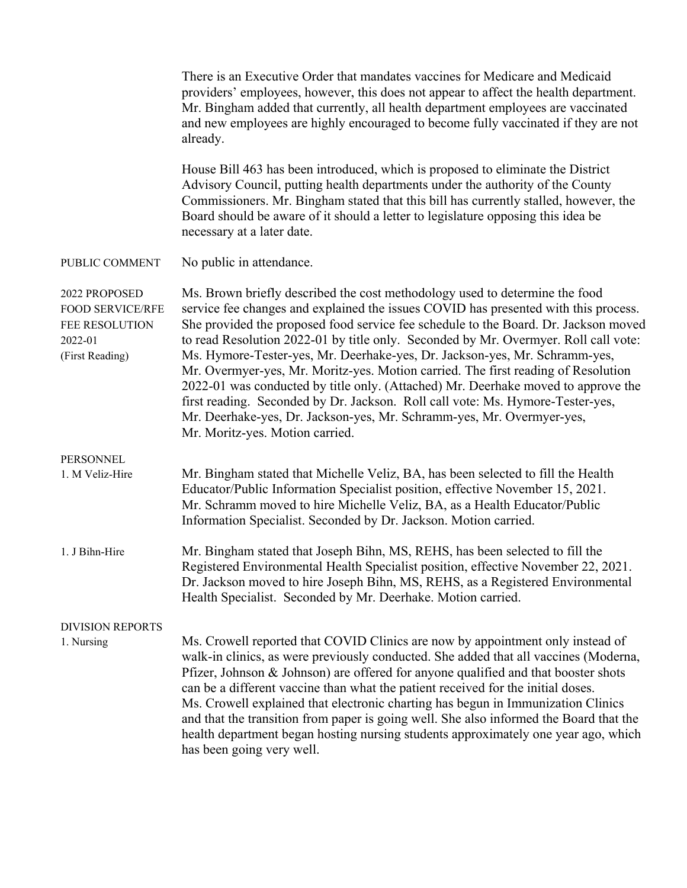|                                                                                          | There is an Executive Order that mandates vaccines for Medicare and Medicaid<br>providers' employees, however, this does not appear to affect the health department.<br>Mr. Bingham added that currently, all health department employees are vaccinated<br>and new employees are highly encouraged to become fully vaccinated if they are not<br>already.                                                                                                                                                                                                                                                                                                                                                                                                                                             |  |  |
|------------------------------------------------------------------------------------------|--------------------------------------------------------------------------------------------------------------------------------------------------------------------------------------------------------------------------------------------------------------------------------------------------------------------------------------------------------------------------------------------------------------------------------------------------------------------------------------------------------------------------------------------------------------------------------------------------------------------------------------------------------------------------------------------------------------------------------------------------------------------------------------------------------|--|--|
|                                                                                          | House Bill 463 has been introduced, which is proposed to eliminate the District<br>Advisory Council, putting health departments under the authority of the County<br>Commissioners. Mr. Bingham stated that this bill has currently stalled, however, the<br>Board should be aware of it should a letter to legislature opposing this idea be<br>necessary at a later date.                                                                                                                                                                                                                                                                                                                                                                                                                            |  |  |
| PUBLIC COMMENT                                                                           | No public in attendance.                                                                                                                                                                                                                                                                                                                                                                                                                                                                                                                                                                                                                                                                                                                                                                               |  |  |
| 2022 PROPOSED<br><b>FOOD SERVICE/RFE</b><br>FEE RESOLUTION<br>2022-01<br>(First Reading) | Ms. Brown briefly described the cost methodology used to determine the food<br>service fee changes and explained the issues COVID has presented with this process.<br>She provided the proposed food service fee schedule to the Board. Dr. Jackson moved<br>to read Resolution 2022-01 by title only. Seconded by Mr. Overmyer. Roll call vote:<br>Ms. Hymore-Tester-yes, Mr. Deerhake-yes, Dr. Jackson-yes, Mr. Schramm-yes,<br>Mr. Overmyer-yes, Mr. Moritz-yes. Motion carried. The first reading of Resolution<br>2022-01 was conducted by title only. (Attached) Mr. Deerhake moved to approve the<br>first reading. Seconded by Dr. Jackson. Roll call vote: Ms. Hymore-Tester-yes,<br>Mr. Deerhake-yes, Dr. Jackson-yes, Mr. Schramm-yes, Mr. Overmyer-yes,<br>Mr. Moritz-yes. Motion carried. |  |  |
| PERSONNEL<br>1. M Veliz-Hire                                                             | Mr. Bingham stated that Michelle Veliz, BA, has been selected to fill the Health<br>Educator/Public Information Specialist position, effective November 15, 2021.<br>Mr. Schramm moved to hire Michelle Veliz, BA, as a Health Educator/Public<br>Information Specialist. Seconded by Dr. Jackson. Motion carried.                                                                                                                                                                                                                                                                                                                                                                                                                                                                                     |  |  |
| 1. J Bihn-Hire                                                                           | Mr. Bingham stated that Joseph Bihn, MS, REHS, has been selected to fill the<br>Registered Environmental Health Specialist position, effective November 22, 2021.<br>Dr. Jackson moved to hire Joseph Bihn, MS, REHS, as a Registered Environmental<br>Health Specialist. Seconded by Mr. Deerhake. Motion carried.                                                                                                                                                                                                                                                                                                                                                                                                                                                                                    |  |  |
| <b>DIVISION REPORTS</b>                                                                  |                                                                                                                                                                                                                                                                                                                                                                                                                                                                                                                                                                                                                                                                                                                                                                                                        |  |  |
| 1. Nursing                                                                               | Ms. Crowell reported that COVID Clinics are now by appointment only instead of<br>walk-in clinics, as were previously conducted. She added that all vaccines (Moderna,<br>Pfizer, Johnson & Johnson) are offered for anyone qualified and that booster shots<br>can be a different vaccine than what the patient received for the initial doses.<br>Ms. Crowell explained that electronic charting has begun in Immunization Clinics<br>and that the transition from paper is going well. She also informed the Board that the<br>health department began hosting nursing students approximately one year ago, which<br>has been going very well.                                                                                                                                                      |  |  |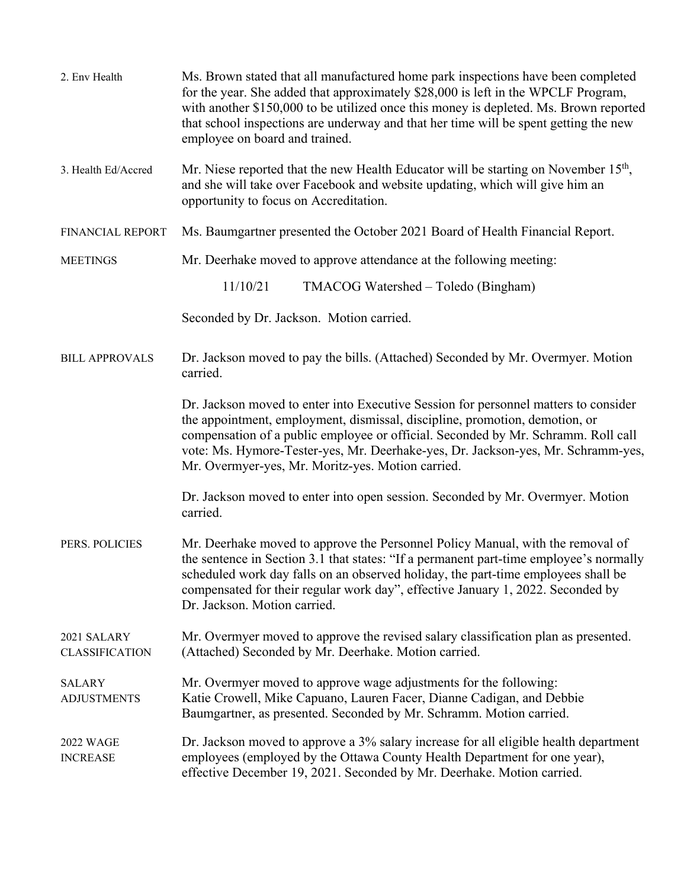| 2. Env Health                        | Ms. Brown stated that all manufactured home park inspections have been completed<br>for the year. She added that approximately \$28,000 is left in the WPCLF Program,<br>with another \$150,000 to be utilized once this money is depleted. Ms. Brown reported<br>that school inspections are underway and that her time will be spent getting the new<br>employee on board and trained.         |  |  |
|--------------------------------------|--------------------------------------------------------------------------------------------------------------------------------------------------------------------------------------------------------------------------------------------------------------------------------------------------------------------------------------------------------------------------------------------------|--|--|
| 3. Health Ed/Accred                  | Mr. Niese reported that the new Health Educator will be starting on November 15 <sup>th</sup> ,<br>and she will take over Facebook and website updating, which will give him an<br>opportunity to focus on Accreditation.                                                                                                                                                                        |  |  |
| FINANCIAL REPORT                     | Ms. Baumgartner presented the October 2021 Board of Health Financial Report.                                                                                                                                                                                                                                                                                                                     |  |  |
| <b>MEETINGS</b>                      | Mr. Deerhake moved to approve attendance at the following meeting:                                                                                                                                                                                                                                                                                                                               |  |  |
|                                      | 11/10/21<br>TMACOG Watershed – Toledo (Bingham)                                                                                                                                                                                                                                                                                                                                                  |  |  |
|                                      | Seconded by Dr. Jackson. Motion carried.                                                                                                                                                                                                                                                                                                                                                         |  |  |
| <b>BILL APPROVALS</b>                | Dr. Jackson moved to pay the bills. (Attached) Seconded by Mr. Overmyer. Motion<br>carried.                                                                                                                                                                                                                                                                                                      |  |  |
|                                      | Dr. Jackson moved to enter into Executive Session for personnel matters to consider<br>the appointment, employment, dismissal, discipline, promotion, demotion, or<br>compensation of a public employee or official. Seconded by Mr. Schramm. Roll call<br>vote: Ms. Hymore-Tester-yes, Mr. Deerhake-yes, Dr. Jackson-yes, Mr. Schramm-yes,<br>Mr. Overmyer-yes, Mr. Moritz-yes. Motion carried. |  |  |
|                                      | Dr. Jackson moved to enter into open session. Seconded by Mr. Overmyer. Motion<br>carried.                                                                                                                                                                                                                                                                                                       |  |  |
| PERS. POLICIES                       | Mr. Deerhake moved to approve the Personnel Policy Manual, with the removal of<br>the sentence in Section 3.1 that states: "If a permanent part-time employee's normally<br>scheduled work day falls on an observed holiday, the part-time employees shall be<br>compensated for their regular work day", effective January 1, 2022. Seconded by<br>Dr. Jackson. Motion carried.                 |  |  |
| 2021 SALARY<br><b>CLASSIFICATION</b> | Mr. Overmyer moved to approve the revised salary classification plan as presented.<br>(Attached) Seconded by Mr. Deerhake. Motion carried.                                                                                                                                                                                                                                                       |  |  |
| <b>SALARY</b><br><b>ADJUSTMENTS</b>  | Mr. Overmyer moved to approve wage adjustments for the following:<br>Katie Crowell, Mike Capuano, Lauren Facer, Dianne Cadigan, and Debbie<br>Baumgartner, as presented. Seconded by Mr. Schramm. Motion carried.                                                                                                                                                                                |  |  |
| <b>2022 WAGE</b><br><b>INCREASE</b>  | Dr. Jackson moved to approve a 3% salary increase for all eligible health department<br>employees (employed by the Ottawa County Health Department for one year),<br>effective December 19, 2021. Seconded by Mr. Deerhake. Motion carried.                                                                                                                                                      |  |  |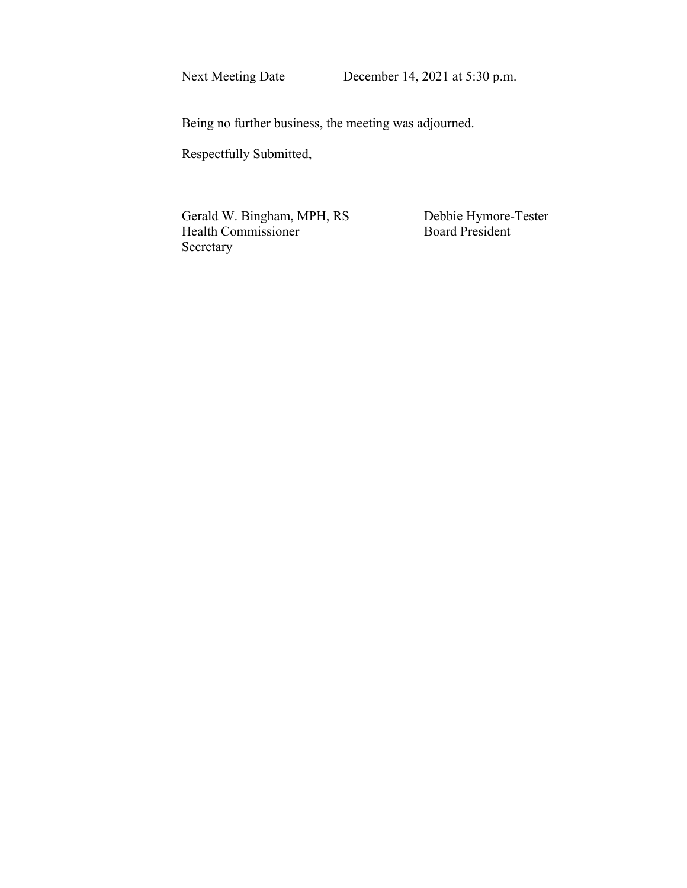Being no further business, the meeting was adjourned.

Respectfully Submitted,

Gerald W. Bingham, MPH, RS<br>
Board President<br>
Board President Health Commissioner Secretary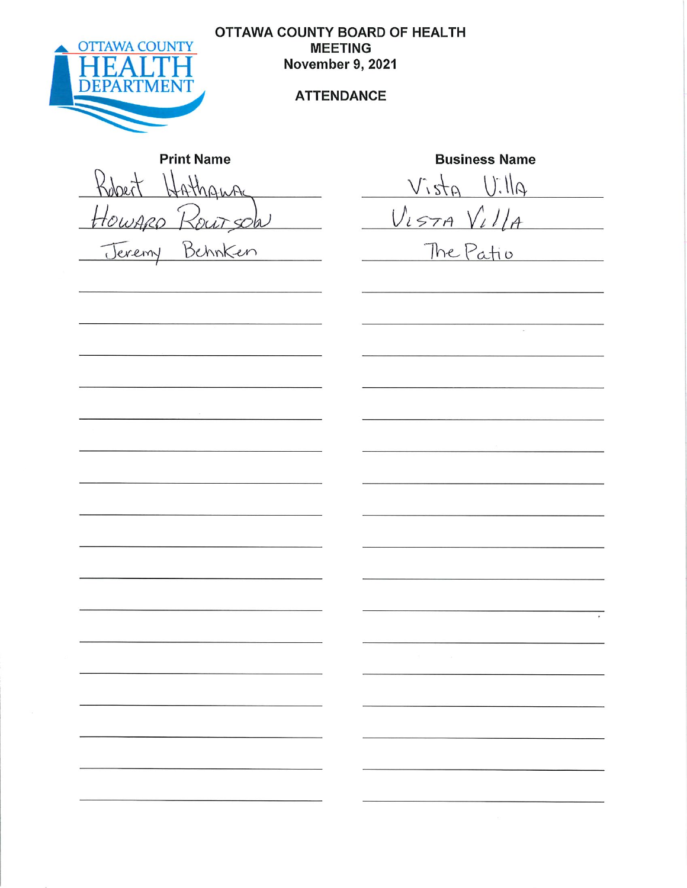

**OTTAWA COUNTY BOARD OF HEALTH MEETING** November 9, 2021

### **ATTENDANCE**

**Print Name** Robert Hathanna Howard Routsol Behnken Jeremy

**Business Name** 

 $with U$ ,  $qf_2/V$  $V_{L57A}$   $V_{L}/I_{A}$ 

 $\sim$ 

The Patio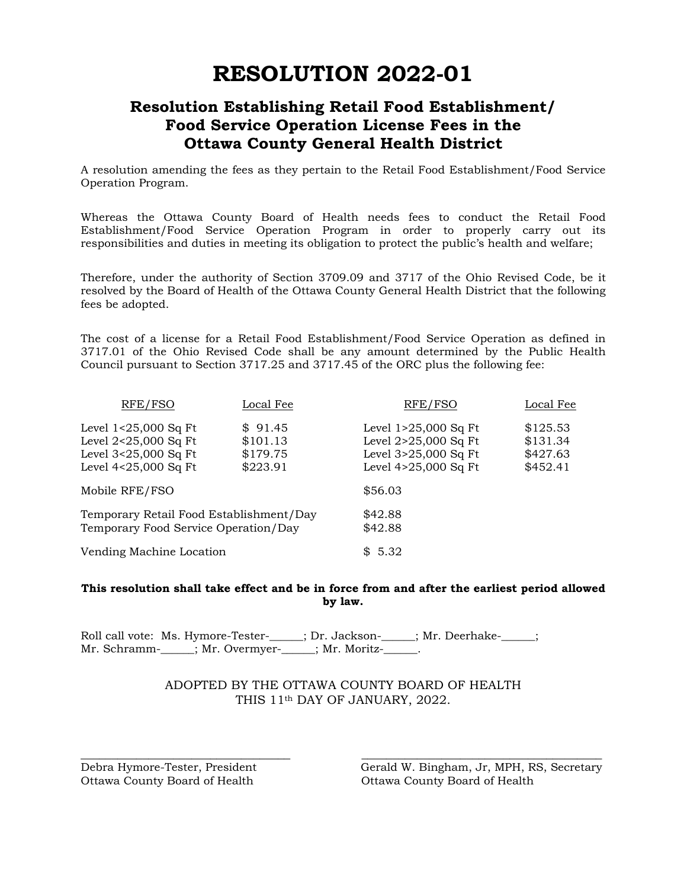# **RESOLUTION 2022-01**

# **Resolution Establishing Retail Food Establishment/ Food Service Operation License Fees in the Ottawa County General Health District**

A resolution amending the fees as they pertain to the Retail Food Establishment/Food Service Operation Program.

Whereas the Ottawa County Board of Health needs fees to conduct the Retail Food Establishment/Food Service Operation Program in order to properly carry out its responsibilities and duties in meeting its obligation to protect the public's health and welfare;

Therefore, under the authority of Section 3709.09 and 3717 of the Ohio Revised Code, be it resolved by the Board of Health of the Ottawa County General Health District that the following fees be adopted.

The cost of a license for a Retail Food Establishment/Food Service Operation as defined in 3717.01 of the Ohio Revised Code shall be any amount determined by the Public Health Council pursuant to Section 3717.25 and 3717.45 of the ORC plus the following fee:

| RFE/FSO                                                                                        | Local Fee                                   | RFE/FSO                                                                                        | Local Fee                                    |
|------------------------------------------------------------------------------------------------|---------------------------------------------|------------------------------------------------------------------------------------------------|----------------------------------------------|
| Level 1<25,000 Sq Ft<br>Level $2<25,000$ Sq Ft<br>Level 3<25,000 Sq Ft<br>Level 4<25,000 Sq Ft | \$91.45<br>\$101.13<br>\$179.75<br>\$223.91 | Level $1>25,000$ Sq Ft<br>Level 2>25,000 Sq Ft<br>Level 3>25,000 Sq Ft<br>Level 4>25,000 Sq Ft | \$125.53<br>\$131.34<br>\$427.63<br>\$452.41 |
| Mobile RFE/FSO                                                                                 |                                             | \$56.03                                                                                        |                                              |
| Temporary Retail Food Establishment/Day<br>Temporary Food Service Operation/Day                |                                             | \$42.88<br>\$42.88                                                                             |                                              |
| Vending Machine Location                                                                       |                                             | \$5.32                                                                                         |                                              |

#### **This resolution shall take effect and be in force from and after the earliest period allowed by law.**

Roll call vote: Ms. Hymore-Tester-\_\_\_\_\_; Dr. Jackson-\_\_\_\_\_; Mr. Deerhake-\_\_\_\_\_; Mr. Schramm-\_\_\_\_\_; Mr. Overmyer-\_\_\_\_\_; Mr. Moritz-\_\_\_\_\_.

### ADOPTED BY THE OTTAWA COUNTY BOARD OF HEALTH THIS 11th DAY OF JANUARY, 2022.

\_\_\_\_\_\_\_\_\_\_\_\_\_\_\_\_\_\_\_\_\_\_\_\_\_\_\_\_\_\_\_\_\_\_ \_\_\_\_\_\_\_\_\_\_\_\_\_\_\_\_\_\_\_\_\_\_\_\_\_\_\_\_\_\_\_\_\_\_\_\_\_\_\_

Ottawa County Board of Health Ottawa County Board of Health

Debra Hymore-Tester, President Gerald W. Bingham, Jr, MPH, RS, Secretary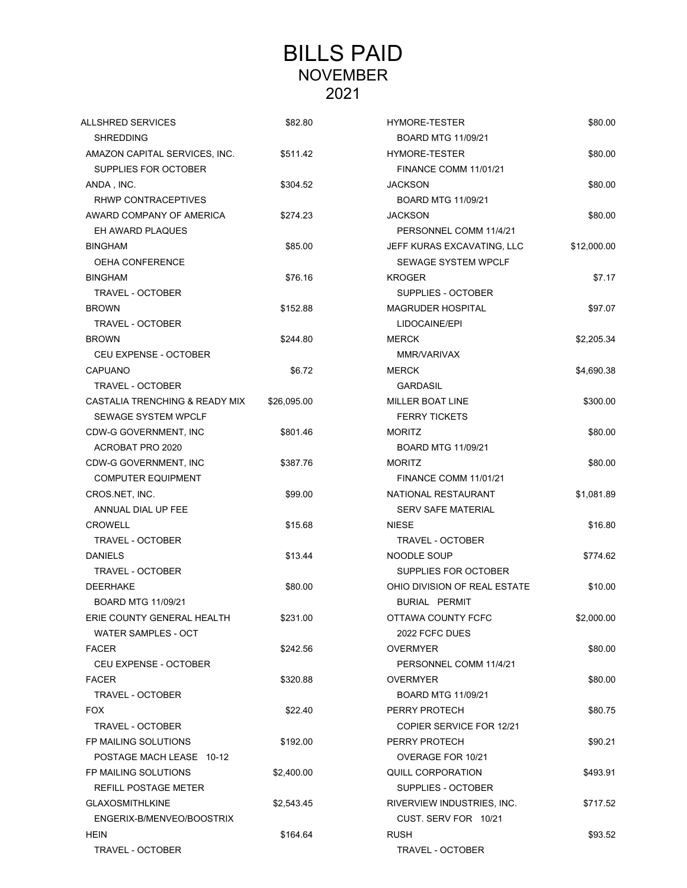# BILLS PAID NOVEMBER 2021

| <b>ALLSHRED SERVICES</b>       | \$82.80     | <b>HYMORE-TESTER</b>            | \$80.00     |
|--------------------------------|-------------|---------------------------------|-------------|
| <b>SHREDDING</b>               |             | <b>BOARD MTG 11/09/21</b>       |             |
| AMAZON CAPITAL SERVICES, INC.  | \$511.42    | HYMORE-TESTER                   | \$80.00     |
| SUPPLIES FOR OCTOBER           |             | <b>FINANCE COMM 11/01/21</b>    |             |
| ANDA, INC.                     | \$304.52    | <b>JACKSON</b>                  | \$80.00     |
| RHWP CONTRACEPTIVES            |             | <b>BOARD MTG 11/09/21</b>       |             |
| AWARD COMPANY OF AMERICA       | \$274.23    | <b>JACKSON</b>                  | \$80.00     |
| EH AWARD PLAQUES               |             | PERSONNEL COMM 11/4/21          |             |
| <b>BINGHAM</b>                 | \$85.00     | JEFF KURAS EXCAVATING, LLC      | \$12,000.00 |
| <b>OEHA CONFERENCE</b>         |             | <b>SEWAGE SYSTEM WPCLF</b>      |             |
| <b>BINGHAM</b>                 | \$76.16     | <b>KROGER</b>                   | \$7.17      |
| TRAVEL - OCTOBER               |             | SUPPLIES - OCTOBER              |             |
| <b>BROWN</b>                   | \$152.88    | <b>MAGRUDER HOSPITAL</b>        | \$97.07     |
| <b>TRAVEL - OCTOBER</b>        |             | LIDOCAINE/EPI                   |             |
| <b>BROWN</b>                   | \$244.80    | <b>MERCK</b>                    | \$2,205.34  |
| CEU EXPENSE - OCTOBER          |             | MMR/VARIVAX                     |             |
| CAPUANO                        | \$6.72      | <b>MERCK</b>                    | \$4,690.38  |
| <b>TRAVEL - OCTOBER</b>        |             | <b>GARDASIL</b>                 |             |
| CASTALIA TRENCHING & READY MIX | \$26,095.00 | <b>MILLER BOAT LINE</b>         | \$300.00    |
| <b>SEWAGE SYSTEM WPCLF</b>     |             | <b>FERRY TICKETS</b>            |             |
| CDW-G GOVERNMENT, INC          | \$801.46    | <b>MORITZ</b>                   | \$80.00     |
| ACROBAT PRO 2020               |             | <b>BOARD MTG 11/09/21</b>       |             |
| CDW-G GOVERNMENT, INC          | \$387.76    | <b>MORITZ</b>                   | \$80.00     |
| <b>COMPUTER EQUIPMENT</b>      |             | <b>FINANCE COMM 11/01/21</b>    |             |
| CROS.NET, INC.                 | \$99.00     | NATIONAL RESTAURANT             | \$1,081.89  |
| ANNUAL DIAL UP FEE             |             | <b>SERV SAFE MATERIAL</b>       |             |
| <b>CROWELL</b>                 | \$15.68     | <b>NIESE</b>                    | \$16.80     |
| <b>TRAVEL - OCTOBER</b>        |             | <b>TRAVEL - OCTOBER</b>         |             |
| <b>DANIELS</b>                 | \$13.44     | NOODLE SOUP                     | \$774.62    |
| TRAVEL - OCTOBER               |             | SUPPLIES FOR OCTOBER            |             |
| <b>DEERHAKE</b>                | \$80.00     | OHIO DIVISION OF REAL ESTATE    | \$10.00     |
| <b>BOARD MTG 11/09/21</b>      |             | BURIAL PERMIT                   |             |
| ERIE COUNTY GENERAL HEALTH     | \$231.00    | OTTAWA COUNTY FCFC              | \$2,000.00  |
| WATER SAMPLES - OCT            |             | 2022 FCFC DUES                  |             |
| <b>FACER</b>                   | \$242.56    | <b>OVERMYER</b>                 | \$80.00     |
| CEU EXPENSE - OCTOBER          |             | PERSONNEL COMM 11/4/21          |             |
| <b>FACER</b>                   | \$320.88    | <b>OVERMYER</b>                 | \$80.00     |
| TRAVEL - OCTOBER               |             | <b>BOARD MTG 11/09/21</b>       |             |
| <b>FOX</b>                     | \$22.40     | PERRY PROTECH                   | \$80.75     |
| TRAVEL - OCTOBER               |             | <b>COPIER SERVICE FOR 12/21</b> |             |
| FP MAILING SOLUTIONS           | \$192.00    | PERRY PROTECH                   | \$90.21     |
| POSTAGE MACH LEASE 10-12       |             | OVERAGE FOR 10/21               |             |
| FP MAILING SOLUTIONS           | \$2,400.00  | <b>QUILL CORPORATION</b>        | \$493.91    |
| REFILL POSTAGE METER           |             | SUPPLIES - OCTOBER              |             |
| <b>GLAXOSMITHLKINE</b>         | \$2,543.45  | RIVERVIEW INDUSTRIES, INC.      | \$717.52    |
| ENGERIX-B/MENVEO/BOOSTRIX      |             | CUST. SERV FOR 10/21            |             |
| <b>HEIN</b>                    | \$164.64    | <b>RUSH</b>                     | \$93.52     |
| <b>TRAVEL - OCTOBER</b>        |             | <b>TRAVEL - OCTOBER</b>         |             |
|                                |             |                                 |             |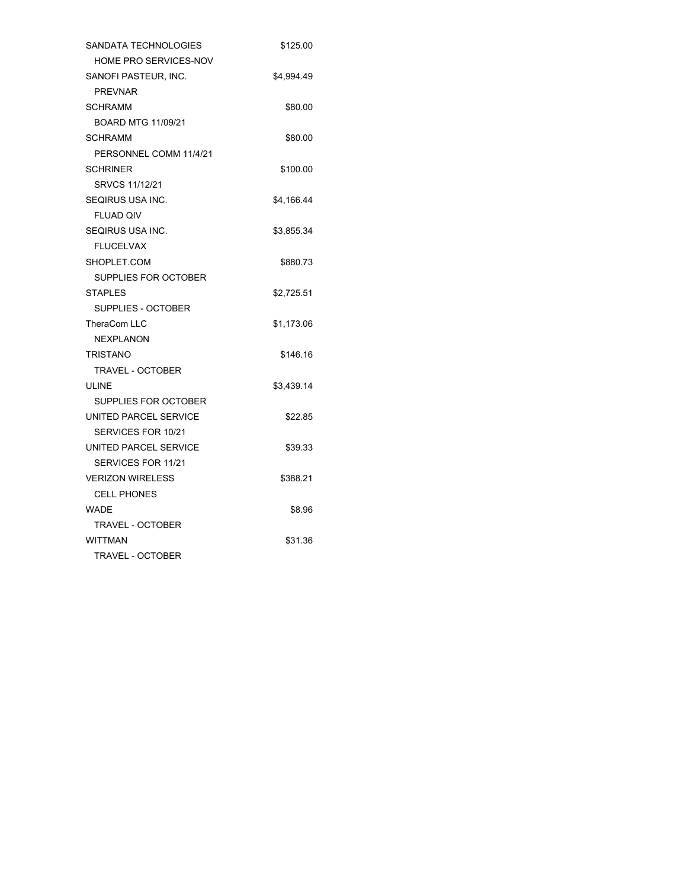| SANDATA TECHNOLOGIES      | \$125.00   |
|---------------------------|------------|
| HOME PRO SERVICES-NOV     |            |
| SANOFI PASTEUR, INC.      | \$4,994.49 |
| <b>PREVNAR</b>            |            |
| <b>SCHRAMM</b>            | \$80.00    |
| <b>BOARD MTG 11/09/21</b> |            |
| <b>SCHRAMM</b>            | \$80.00    |
| PERSONNEL COMM 11/4/21    |            |
| <b>SCHRINER</b>           | \$100.00   |
| SRVCS 11/12/21            |            |
| SEQIRUS USA INC.          | \$4,166.44 |
| <b>FLUAD QIV</b>          |            |
| <b>SEQIRUS USA INC.</b>   | \$3,855.34 |
| <b>FLUCELVAX</b>          |            |
| SHOPLET.COM               | \$880.73   |
| SUPPLIES FOR OCTOBER      |            |
| <b>STAPLES</b>            | \$2,725.51 |
| SUPPLIES - OCTOBER        |            |
| TheraCom LLC              | \$1,173.06 |
| <b>NEXPLANON</b>          |            |
| TRISTANO                  | \$146.16   |
| <b>TRAVEL - OCTOBER</b>   |            |
| ULINE                     | \$3,439.14 |
| SUPPLIES FOR OCTOBER      |            |
| UNITED PARCEL SERVICE     | \$22.85    |
| SERVICES FOR 10/21        |            |
| UNITED PARCEL SERVICE     | \$39.33    |
| SERVICES FOR 11/21        |            |
| <b>VERIZON WIRELESS</b>   | \$388.21   |
| <b>CELL PHONES</b>        |            |
| <b>WADE</b>               | \$8.96     |
| <b>TRAVEL - OCTOBER</b>   |            |
| <b>WITTMAN</b>            | \$31.36    |
| <b>TRAVEL - OCTOBER</b>   |            |